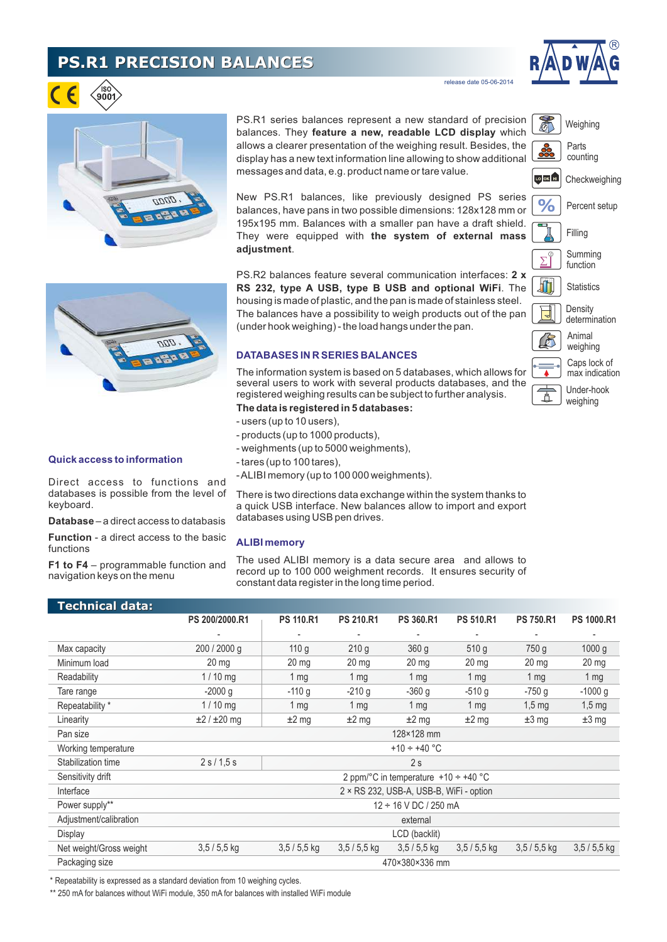# **PS.R1 PRECISION BALANCES**



Weighing

Checkweighing

Percent setup

Parts counting

LO OK HI

 $\frac{1}{2}$ 

 $\overline{\nabla}$ 

血

Under-hook weighing

Caps lock of max indication

**Density** determination

**Statistics** 

Summing function

Animal weighing

Filling

release date 05-06-2014

| ä.<br>o. | 1000. ト |
|----------|---------|
|          |         |

PS.R1 series balances represent a new standard of precision balances. They **feature a new, readable LCD display** which allows a clearer presentation of the weighing result. Besides, the display has a new text information line allowing to show additional messages and data, e.g. product name or tare value.

New PS.R1 balances, like previously designed PS series balances, have pans in two possible dimensions: 128x128 mm or 195x195 mm. Balances with a smaller pan have a draft shield. They were equipped with **the system of external mass adjustment**.

PS.R2 balances feature several communication interfaces: **2 x RS 232, type A USB, type B USB and optional WiFi**. The housing is made of plastic, and the pan is made of stainless steel. The balances have a possibility to weigh products out of the pan (under hook weighing) - the load hangs under the pan.

### **DATABASES IN R SERIES BALANCES**

The information system is based on 5 databases, which allows for several users to work with several products databases, and the registered weighing results can be subject to further analysis.

- **The data is registered in 5 databases:**
- users (up to 10 users),
- products (up to 1000 products),
- weighments (up to 5000 weighments),
- tares (up to 100 tares),
- ALIBI memory (up to 100 000 weighments).

There is two directions data exchange within the system thanks to a quick USB interface. New balances allow to import and export databases using USB pen drives.

#### **ALIBI memory**

The used ALIBI memory is a data secure area and allows to record up to 100 000 weighment records. It ensures security of constant data register in the long time period.

| Technical data:         |                                                         |                  |                  |                   |                  |                  |                   |
|-------------------------|---------------------------------------------------------|------------------|------------------|-------------------|------------------|------------------|-------------------|
|                         | PS 200/2000.R1                                          | <b>PS 110.R1</b> | <b>PS 210.R1</b> | <b>PS 360.R1</b>  | <b>PS 510.R1</b> | <b>PS 750.R1</b> | <b>PS 1000.R1</b> |
|                         |                                                         |                  |                  |                   |                  |                  |                   |
| Max capacity            | 200 / 2000 g                                            | 110 g            | 210 g            | 360 <sub>g</sub>  | 510 g            | 750 <sub>g</sub> | 1000 g            |
| Minimum load            | $20 \text{ mg}$                                         | 20 <sub>mg</sub> | $20 \text{ mg}$  | $20 \, mg$        | $20 \text{ mg}$  | $20 \text{ mg}$  | $20 \text{ mg}$   |
| Readability             | $1/10$ mg                                               | 1 <sub>mg</sub>  | 1 $mg$           | 1 <sub>mg</sub>   | 1 $mg$           | $1 \, \text{mg}$ | 1 <sub>mg</sub>   |
| Tare range              | $-2000q$                                                | $-110g$          | $-210 g$         | $-360$ g          | $-510q$          | $-750q$          | $-1000 g$         |
| Repeatability *         | $1/10$ mg                                               | 1 <sub>mg</sub>  | 1 $mg$           | 1 <sub>mg</sub>   | 1 $mg$           | $1,5 \text{ mg}$ | $1,5 \text{ mg}$  |
| Linearity               | $\pm 2 / \pm 20$ mg                                     | $±2$ mg          | $±2$ mg          | $±2$ mg           | $±2$ mg          | $±3$ mg          | $±3$ mg           |
| Pan size                | 128×128 mm                                              |                  |                  |                   |                  |                  |                   |
| Working temperature     |                                                         |                  |                  | +10 $\div$ +40 °C |                  |                  |                   |
| Stabilization time      | 2 s / 1.5 s                                             |                  |                  | 2s                |                  |                  |                   |
| Sensitivity drift       | 2 ppm/ $\degree$ C in temperature +10 ÷ +40 $\degree$ C |                  |                  |                   |                  |                  |                   |
| Interface               | 2 × RS 232, USB-A, USB-B, WiFi - option                 |                  |                  |                   |                  |                  |                   |
| Power supply**          | $12 \div 16$ V DC / 250 mA                              |                  |                  |                   |                  |                  |                   |
| Adjustment/calibration  | external                                                |                  |                  |                   |                  |                  |                   |
| Display                 | LCD (backlit)                                           |                  |                  |                   |                  |                  |                   |
| Net weight/Gross weight | $3,5/5,5$ kg                                            | $3,5/5,5$ kg     | $3,5/5,5$ kg     | $3,5/5,5$ kg      | $3,5/5,5$ kg     | $3,5/5,5$ kg     | $3,5/5,5$ kg      |
| Packaging size          |                                                         |                  |                  | 470×380×336 mm    |                  |                  |                   |

\* Repeatability is expressed as a standard deviation from 10 weighing cycles.

\*\* 250 mA for balances without WiFi module, 350 mA for balances with installed WiFi module



#### **Quick access to information**

Direct access to functions and databases is possible from the level of keyboard.

**Database** – a direct access to databasis

**Function** - a direct access to the basic functions

**F1 to F4** – programmable function and navigation keys on the menu